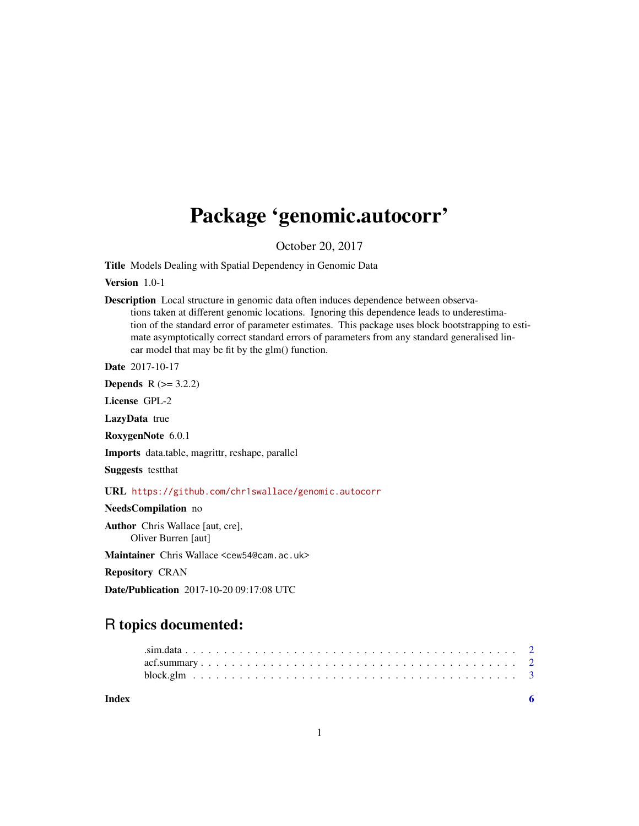## Package 'genomic.autocorr'

October 20, 2017

Title Models Dealing with Spatial Dependency in Genomic Data

Version 1.0-1

Description Local structure in genomic data often induces dependence between observations taken at different genomic locations. Ignoring this dependence leads to underestimation of the standard error of parameter estimates. This package uses block bootstrapping to estimate asymptotically correct standard errors of parameters from any standard generalised linear model that may be fit by the glm() function.

Date 2017-10-17

**Depends**  $R (= 3.2.2)$ 

License GPL-2

LazyData true

RoxygenNote 6.0.1

Imports data.table, magrittr, reshape, parallel

Suggests testthat

URL <https://github.com/chr1swallace/genomic.autocorr>

NeedsCompilation no

Author Chris Wallace [aut, cre], Oliver Burren [aut]

Maintainer Chris Wallace <cew54@cam.ac.uk>

Repository CRAN

Date/Publication 2017-10-20 09:17:08 UTC

### R topics documented:

| Index |  |
|-------|--|
|       |  |
|       |  |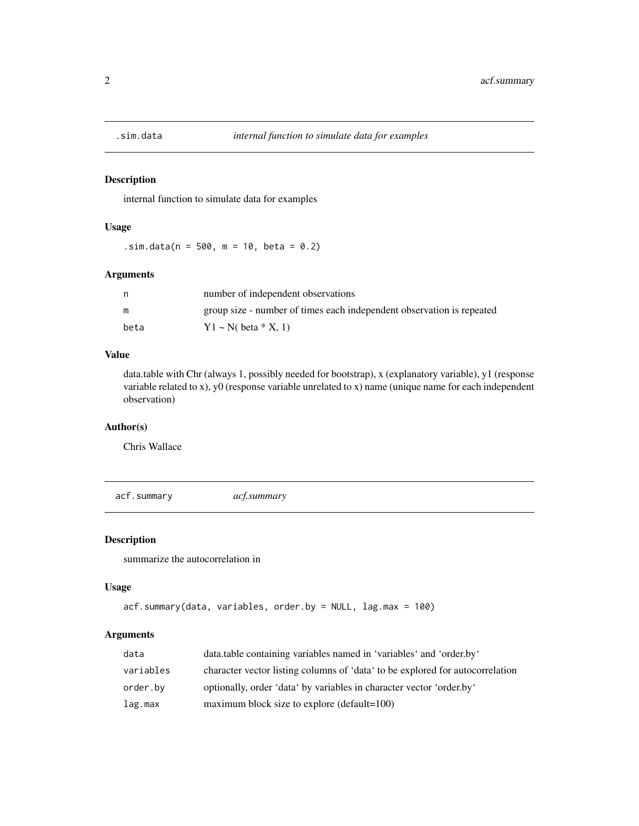<span id="page-1-0"></span>

#### Description

internal function to simulate data for examples

#### Usage

 $\sin \theta$ .sim.data(n = 500, m = 10, beta = 0.2)

#### Arguments

|      | number of independent observations                                    |
|------|-----------------------------------------------------------------------|
| m    | group size - number of times each independent observation is repeated |
| beta | $Y1 \sim N$ beta * X, 1)                                              |

#### Value

data.table with Chr (always 1, possibly needed for bootstrap), x (explanatory variable), y1 (response variable related to x), y0 (response variable unrelated to x) name (unique name for each independent observation)

#### Author(s)

Chris Wallace

acf.summary *acf.summary*

#### Description

summarize the autocorrelation in

#### Usage

```
acf.summary(data, variables, order.by = NULL, lag.max = 100)
```
#### Arguments

| data      | data.table containing variables named in 'variables' and 'order.by'           |
|-----------|-------------------------------------------------------------------------------|
| variables | character vector listing columns of 'data' to be explored for autocorrelation |
| order.by  | optionally, order 'data' by variables in character vector 'order.by'          |
| lag.max   | maximum block size to explore (default=100)                                   |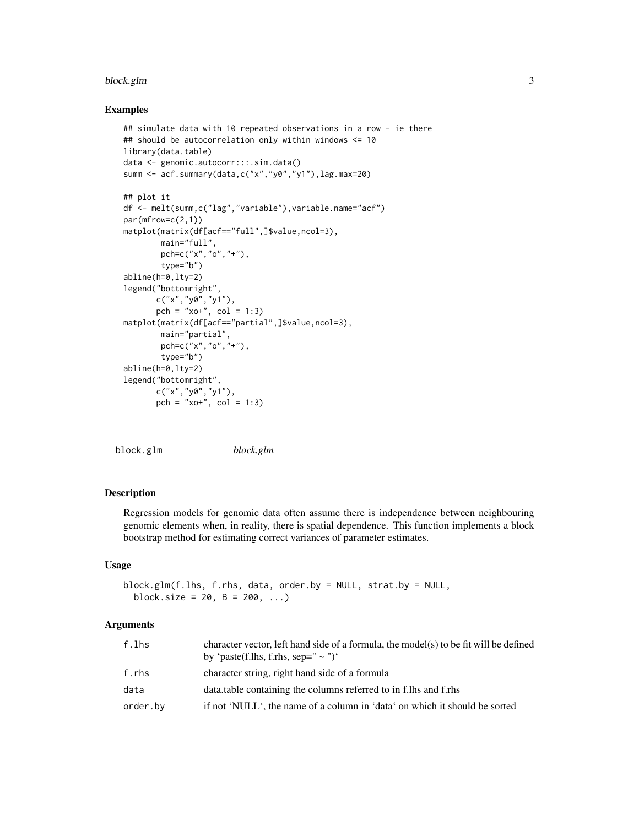#### <span id="page-2-0"></span>block.glm 3

#### Examples

```
## simulate data with 10 repeated observations in a row - ie there
## should be autocorrelation only within windows <= 10
library(data.table)
data <- genomic.autocorr:::.sim.data()
summ <- acf.summary(data,c("x","y0","y1"),lag.max=20)
## plot it
df <- melt(summ,c("lag","variable"),variable.name="acf")
par(mfrow=c(2,1))
matplot(matrix(df[acf=="full",]$value,ncol=3),
        main="full",
        pch=c("x","o","+"),
        type="b")
abline(h=0,lty=2)
legend("bottomright",
       c("x", "y0", "y1"),
       pch = "xo+", col = 1:3)
matplot(matrix(df[acf=="partial",]$value,ncol=3),
        main="partial",
        pch=c("x","o","+"),
        type="b")
abline(h=0,lty=2)
legend("bottomright",
       c("x","y0","y1"),
       pch = "xo+", col = 1:3)
```
block.glm *block.glm*

#### Description

Regression models for genomic data often assume there is independence between neighbouring genomic elements when, in reality, there is spatial dependence. This function implements a block bootstrap method for estimating correct variances of parameter estimates.

#### Usage

```
block.glm(f.lhs, f.rhs, data, order.by = NULL, strat.by = NULL,
 block.size = 20, B = 200, ...
```
#### Arguments

| f.lhs    | character vector, left hand side of a formula, the model(s) to be fit will be defined<br>by 'paste(f.lhs, f.rhs, sep=" $\sim$ ")' |
|----------|-----------------------------------------------------------------------------------------------------------------------------------|
| f.rhs    | character string, right hand side of a formula                                                                                    |
| data     | data.table containing the columns referred to in f.lhs and f.rhs                                                                  |
| order.by | if not 'NULL', the name of a column in 'data' on which it should be sorted                                                        |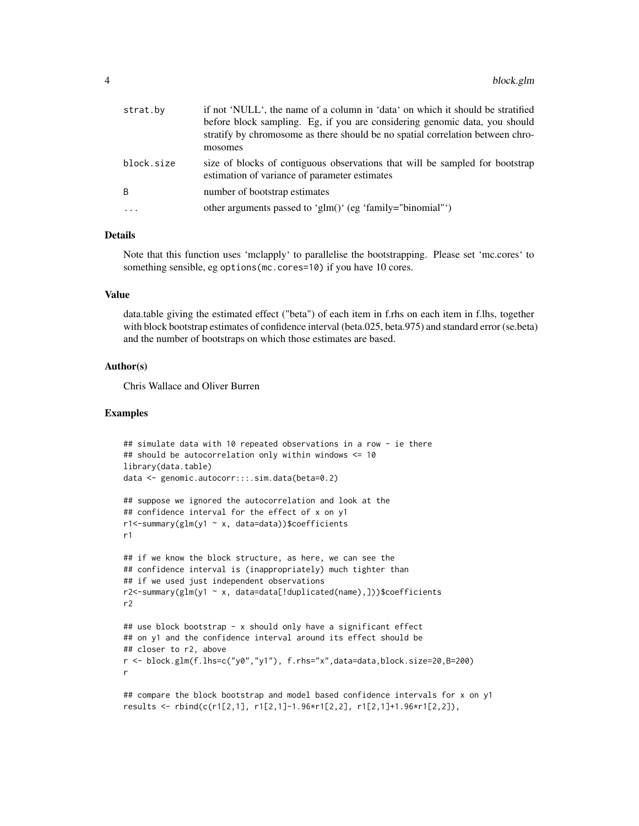| strat.by   | if not 'NULL', the name of a column in 'data' on which it should be stratified<br>before block sampling. Eg, if you are considering genomic data, you should<br>stratify by chromosome as there should be no spatial correlation between chro-<br>mosomes |
|------------|-----------------------------------------------------------------------------------------------------------------------------------------------------------------------------------------------------------------------------------------------------------|
| block.size | size of blocks of contiguous observations that will be sampled for bootstrap<br>estimation of variance of parameter estimates                                                                                                                             |
| B          | number of bootstrap estimates                                                                                                                                                                                                                             |
|            | other arguments passed to 'glm()' (eg 'family="binomial"')                                                                                                                                                                                                |
|            |                                                                                                                                                                                                                                                           |

#### Details

Note that this function uses 'mclapply' to parallelise the bootstrapping. Please set 'mc.cores' to something sensible, eg options(mc.cores=10) if you have 10 cores.

#### Value

data.table giving the estimated effect ("beta") of each item in f.rhs on each item in f.lhs, together with block bootstrap estimates of confidence interval (beta.025, beta.975) and standard error (se.beta) and the number of bootstraps on which those estimates are based.

#### Author(s)

Chris Wallace and Oliver Burren

#### Examples

```
## simulate data with 10 repeated observations in a row - ie there
## should be autocorrelation only within windows <= 10
library(data.table)
data <- genomic.autocorr:::.sim.data(beta=0.2)
## suppose we ignored the autocorrelation and look at the
## confidence interval for the effect of x on y1
r1<-summary(glm(y1 ~ x, data=data))$coefficients
r1
## if we know the block structure, as here, we can see the
## confidence interval is (inappropriately) much tighter than
## if we used just independent observations
r2 < -summary(glm(y1 ~ x, data=data[!duplicated(name),]))$coefficients
r2
## use block bootstrap - x should only have a significant effect
## on y1 and the confidence interval around its effect should be
## closer to r2, above
r <- block.glm(f.lhs=c("y0","y1"), f.rhs="x",data=data,block.size=20,B=200)
r
## compare the block bootstrap and model based confidence intervals for x on y1
results <- rbind(c(r1[2,1], r1[2,1]-1.96*r1[2,2], r1[2,1]+1.96*r1[2,2]),
```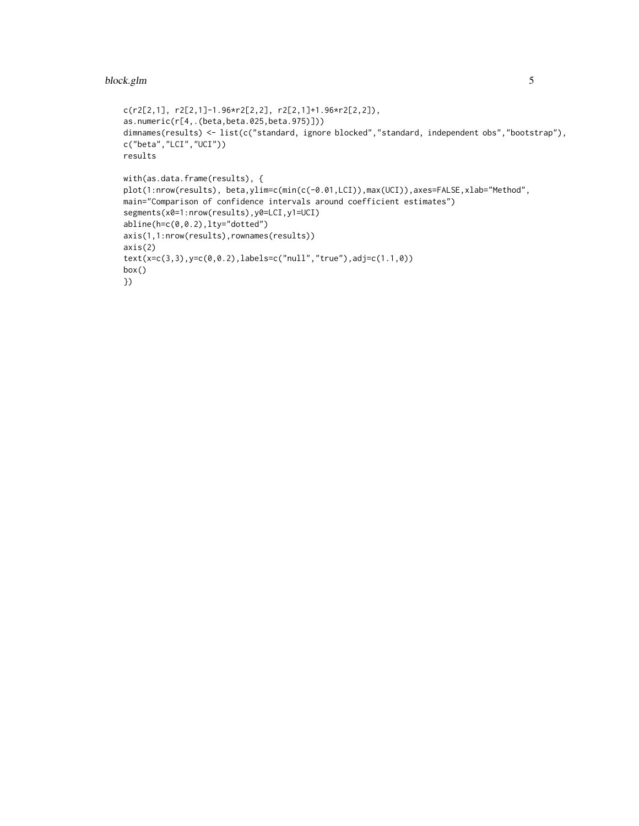#### block.glm 5

```
c(r2[2,1], r2[2,1]-1.96*r2[2,2], r2[2,1]+1.96*r2[2,2]),
as.numeric(r[4,.(beta,beta.025,beta.975)]))
dimnames(results) <- list(c("standard, ignore blocked","standard, independent obs","bootstrap"),
c("beta","LCI","UCI"))
results
with(as.data.frame(results), {
plot(1:nrow(results), beta,ylim=c(min(c(-0.01,LCI)),max(UCI)),axes=FALSE,xlab="Method",
main="Comparison of confidence intervals around coefficient estimates")
segments(x0=1:nrow(results),y0=LCI,y1=UCI)
abline(h=c(0,0.2),lty="dotted")
axis(1,1:nrow(results),rownames(results))
axis(2)
text(x=c(3,3),y=c(0,0.2),labels=c("null","true"),adj=c(1.1,0))
box()
})
```